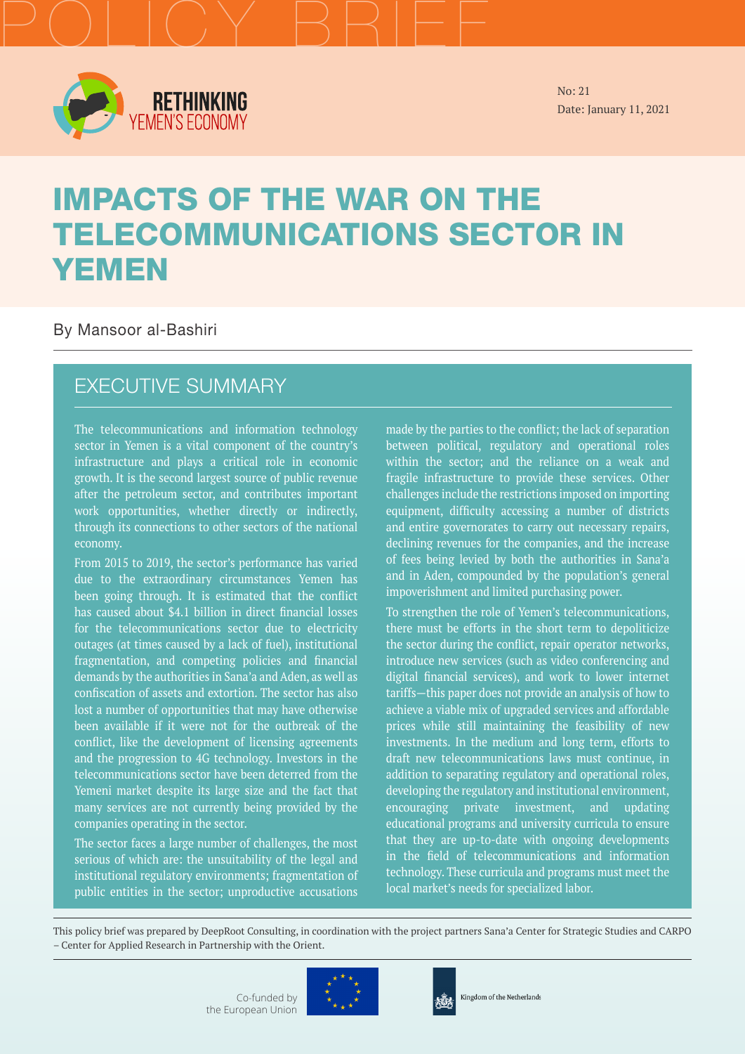

POLICY BRIEF

No: 21 Date: January 11, 2021

# IMPACTS OF THE WAR ON THE TELECOMMUNICATIONS SECTOR IN YEMEN

By Mansoor al-Bashiri

### EXECUTIVE SUMMARY

The telecommunications and information technology sector in Yemen is a vital component of the country's infrastructure and plays a critical role in economic growth. It is the second largest source of public revenue after the petroleum sector, and contributes important work opportunities, whether directly or indirectly, through its connections to other sectors of the national economy.

From 2015 to 2019, the sector's performance has varied due to the extraordinary circumstances Yemen has been going through. It is estimated that the conflict has caused about \$4.1 billion in direct financial losses for the telecommunications sector due to electricity outages (at times caused by a lack of fuel), institutional fragmentation, and competing policies and financial demands by the authorities in Sana'a and Aden, as well as confiscation of assets and extortion. The sector has also lost a number of opportunities that may have otherwise been available if it were not for the outbreak of the conflict, like the development of licensing agreements and the progression to 4G technology. Investors in the telecommunications sector have been deterred from the Yemeni market despite its large size and the fact that many services are not currently being provided by the companies operating in the sector.

The sector faces a large number of challenges, the most serious of which are: the unsuitability of the legal and institutional regulatory environments; fragmentation of public entities in the sector; unproductive accusations made by the parties to the conflict; the lack of separation between political, regulatory and operational roles within the sector; and the reliance on a weak and fragile infrastructure to provide these services. Other challenges include the restrictions imposed on importing equipment, difficulty accessing a number of districts and entire governorates to carry out necessary repairs, declining revenues for the companies, and the increase of fees being levied by both the authorities in Sana'a and in Aden, compounded by the population's general impoverishment and limited purchasing power.

To strengthen the role of Yemen's telecommunications, there must be efforts in the short term to depoliticize the sector during the conflict, repair operator networks, introduce new services (such as video conferencing and digital financial services), and work to lower internet tariffs—this paper does not provide an analysis of how to achieve a viable mix of upgraded services and affordable prices while still maintaining the feasibility of new investments. In the medium and long term, efforts to draft new telecommunications laws must continue, in addition to separating regulatory and operational roles, developing the regulatory and institutional environment, encouraging private investment, and updating educational programs and university curricula to ensure that they are up-to-date with ongoing developments in the field of telecommunications and information technology. These curricula and programs must meet the local market's needs for specialized labor.

This policy brief was prepared by DeepRoot Consulting, in coordination with the project partners Sana'a Center for Strategic Studies and CARPO – Center for Applied Research in Partnership with the Orient.



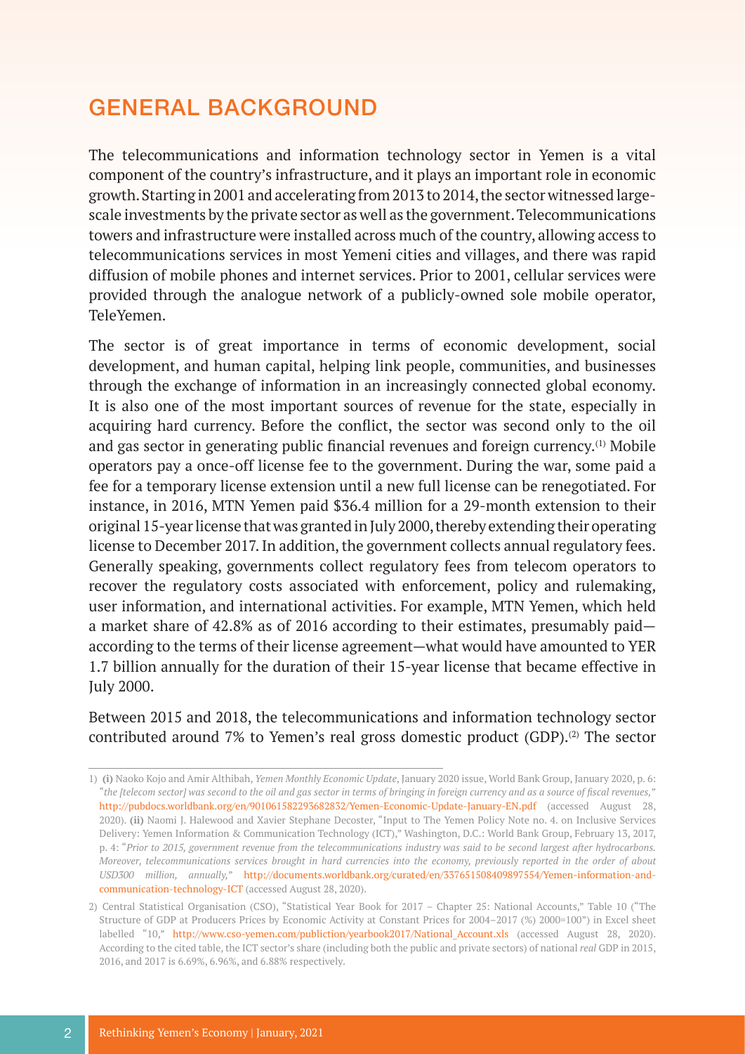## GENERAL BACKGROUND

The telecommunications and information technology sector in Yemen is a vital component of the country's infrastructure, and it plays an important role in economic growth. Starting in 2001 and accelerating from 2013 to 2014, the sector witnessed largescale investments by the private sector as well as the government. Telecommunications towers and infrastructure were installed across much of the country, allowing access to telecommunications services in most Yemeni cities and villages, and there was rapid diffusion of mobile phones and internet services. Prior to 2001, cellular services were provided through the analogue network of a publicly-owned sole mobile operator, TeleYemen.

The sector is of great importance in terms of economic development, social development, and human capital, helping link people, communities, and businesses through the exchange of information in an increasingly connected global economy. It is also one of the most important sources of revenue for the state, especially in acquiring hard currency. Before the conflict, the sector was second only to the oil and gas sector in generating public financial revenues and foreign currency.(1) Mobile operators pay a once-off license fee to the government. During the war, some paid a fee for a temporary license extension until a new full license can be renegotiated. For instance, in 2016, MTN Yemen paid \$36.4 million for a 29-month extension to their original 15-year license that was granted in July 2000, thereby extending their operating license to December 2017. In addition, the government collects annual regulatory fees. Generally speaking, governments collect regulatory fees from telecom operators to recover the regulatory costs associated with enforcement, policy and rulemaking, user information, and international activities. For example, MTN Yemen, which held a market share of 42.8% as of 2016 according to their estimates, presumably paid according to the terms of their license agreement—what would have amounted to YER 1.7 billion annually for the duration of their 15-year license that became effective in July 2000.

Between 2015 and 2018, the telecommunications and information technology sector contributed around 7% to Yemen's real gross domestic product  $(GDP)$ .<sup>(2)</sup> The sector

<sup>1)</sup> **(i)** Naoko Kojo and Amir Althibah, *Yemen Monthly Economic Update*, January 2020 issue, World Bank Group, January 2020, p. 6: "*the [telecom sector] was second to the oil and gas sector in terms of bringing in foreign currency and as a source of fiscal revenues,*" <http://pubdocs.worldbank.org/en/901061582293682832/Yemen-Economic-Update-January-EN.pdf>(accessed August 28, 2020). **(ii)** Naomi J. Halewood and Xavier Stephane Decoster, "Input to The Yemen Policy Note no. 4. on Inclusive Services Delivery: Yemen Information & Communication Technology (ICT)," Washington, D.C.: World Bank Group, February 13, 2017, p. 4: "*Prior to 2015, government revenue from the telecommunications industry was said to be second largest after hydrocarbons. Moreover, telecommunications services brought in hard currencies into the economy, previously reported in the order of about USD300 million, annually,*" [http://documents.worldbank.org/curated/en/337651508409897554/Yemen-information-and](http://documents.worldbank.org/curated/en/337651508409897554/Yemen-information-and-communication-tec)[communication-technology-ICT](http://documents.worldbank.org/curated/en/337651508409897554/Yemen-information-and-communication-tec) (accessed August 28, 2020).

<sup>2)</sup> Central Statistical Organisation (CSO), "Statistical Year Book for 2017 – Chapter 25: National Accounts," Table 10 ("The Structure of GDP at Producers Prices by Economic Activity at Constant Prices for 2004–2017 (%) 2000=100") in Excel sheet labelled "10," http://www.cso-yemen.com/publiction/yearbook2017/National Account.xls (accessed August 28, 2020). According to the cited table, the ICT sector's share (including both the public and private sectors) of national *real* GDP in 2015, 2016, and 2017 is 6.69%, 6.96%, and 6.88% respectively.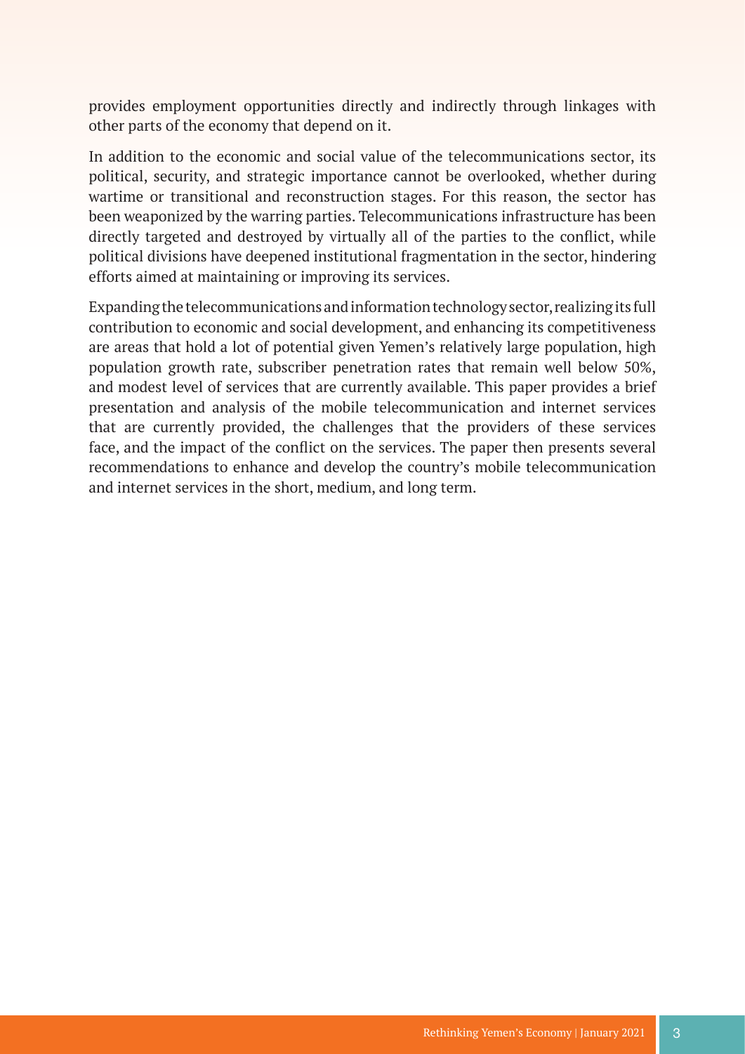provides employment opportunities directly and indirectly through linkages with other parts of the economy that depend on it.

In addition to the economic and social value of the telecommunications sector, its political, security, and strategic importance cannot be overlooked, whether during wartime or transitional and reconstruction stages. For this reason, the sector has been weaponized by the warring parties. Telecommunications infrastructure has been directly targeted and destroyed by virtually all of the parties to the conflict, while political divisions have deepened institutional fragmentation in the sector, hindering efforts aimed at maintaining or improving its services.

Expanding the telecommunications and information technology sector, realizing its full contribution to economic and social development, and enhancing its competitiveness are areas that hold a lot of potential given Yemen's relatively large population, high population growth rate, subscriber penetration rates that remain well below 50%, and modest level of services that are currently available. This paper provides a brief presentation and analysis of the mobile telecommunication and internet services that are currently provided, the challenges that the providers of these services face, and the impact of the conflict on the services. The paper then presents several recommendations to enhance and develop the country's mobile telecommunication and internet services in the short, medium, and long term.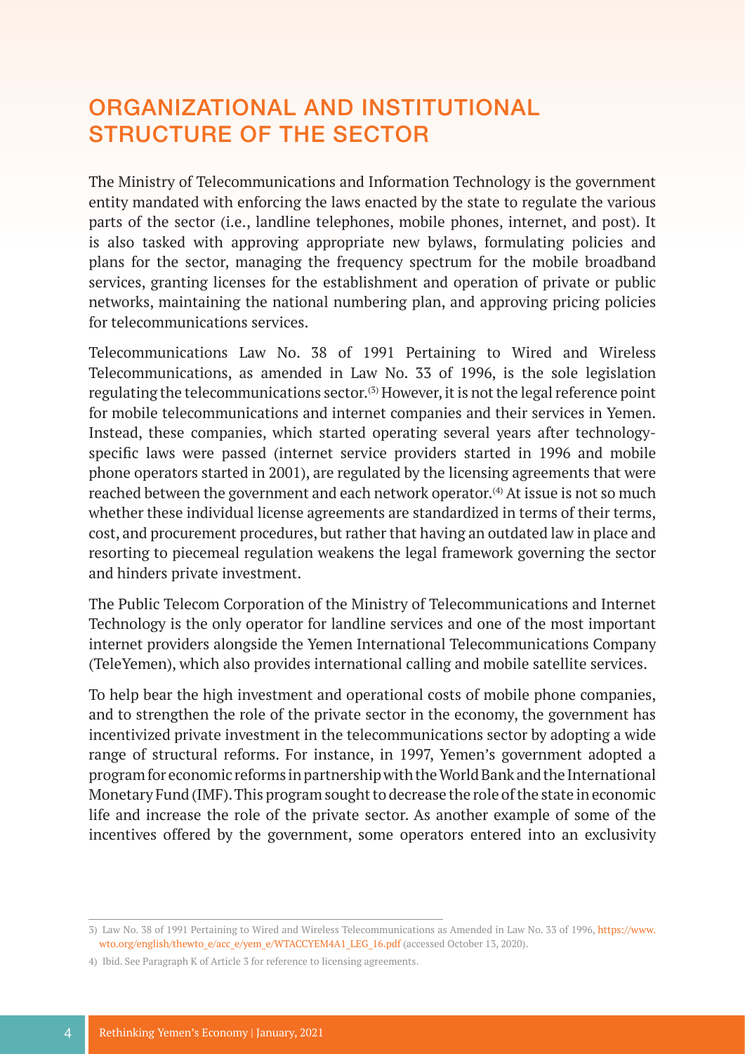# ORGANIZATIONAL AND INSTITUTIONAL STRUCTURE OF THE SECTOR

The Ministry of Telecommunications and Information Technology is the government entity mandated with enforcing the laws enacted by the state to regulate the various parts of the sector (i.e., landline telephones, mobile phones, internet, and post). It is also tasked with approving appropriate new bylaws, formulating policies and plans for the sector, managing the frequency spectrum for the mobile broadband services, granting licenses for the establishment and operation of private or public networks, maintaining the national numbering plan, and approving pricing policies for telecommunications services.

Telecommunications Law No. 38 of 1991 Pertaining to Wired and Wireless Telecommunications, as amended in Law No. 33 of 1996, is the sole legislation regulating the telecommunications sector.(3) However, it is not the legal reference point for mobile telecommunications and internet companies and their services in Yemen. Instead, these companies, which started operating several years after technologyspecific laws were passed (internet service providers started in 1996 and mobile phone operators started in 2001), are regulated by the licensing agreements that were reached between the government and each network operator.<sup>(4)</sup> At issue is not so much whether these individual license agreements are standardized in terms of their terms, cost, and procurement procedures, but rather that having an outdated law in place and resorting to piecemeal regulation weakens the legal framework governing the sector and hinders private investment.

The Public Telecom Corporation of the Ministry of Telecommunications and Internet Technology is the only operator for landline services and one of the most important internet providers alongside the Yemen International Telecommunications Company (TeleYemen), which also provides international calling and mobile satellite services.

To help bear the high investment and operational costs of mobile phone companies, and to strengthen the role of the private sector in the economy, the government has incentivized private investment in the telecommunications sector by adopting a wide range of structural reforms. For instance, in 1997, Yemen's government adopted a program for economic reforms in partnership with the World Bank and the International Monetary Fund (IMF). This program sought to decrease the role of the state in economic life and increase the role of the private sector. As another example of some of the incentives offered by the government, some operators entered into an exclusivity

<sup>3)</sup> Law No. 38 of 1991 Pertaining to Wired and Wireless Telecommunications as Amended in Law No. 33 of 1996, [https://www.](https://www.wto.org/english/thewto_e/acc_e/yem_e/WTACCYEM4A1_LEG_16.pdf) [wto.org/english/thewto\\_e/acc\\_e/yem\\_e/WTACCYEM4A1\\_LEG\\_16.pdf](https://www.wto.org/english/thewto_e/acc_e/yem_e/WTACCYEM4A1_LEG_16.pdf) (accessed October 13, 2020).

<sup>4)</sup> Ibid. See Paragraph K of Article 3 for reference to licensing agreements.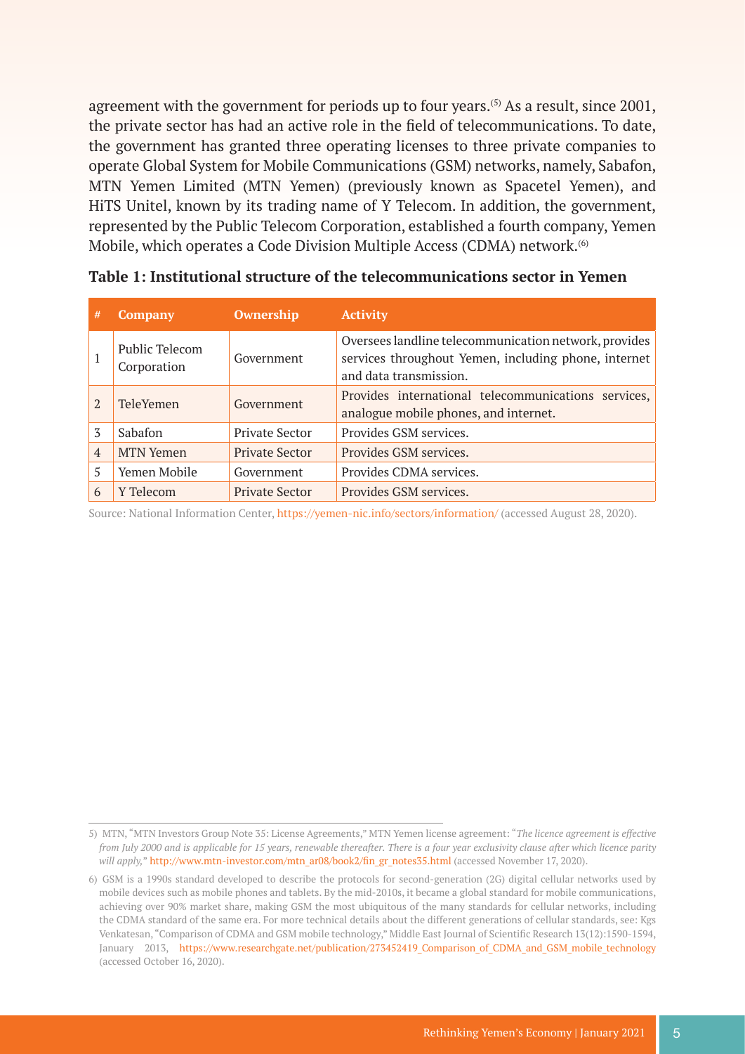agreement with the government for periods up to four years.<sup>(5)</sup> As a result, since 2001, the private sector has had an active role in the field of telecommunications. To date, the government has granted three operating licenses to three private companies to operate Global System for Mobile Communications (GSM) networks, namely, Sabafon, MTN Yemen Limited (MTN Yemen) (previously known as Spacetel Yemen), and HiTS Unitel, known by its trading name of Y Telecom. In addition, the government, represented by the Public Telecom Corporation, established a fourth company, Yemen Mobile, which operates a Code Division Multiple Access (CDMA) network.(6)

| #              | <b>Company</b>                | <b>Ownership</b>      | <b>Activity</b>                                                                                                                         |
|----------------|-------------------------------|-----------------------|-----------------------------------------------------------------------------------------------------------------------------------------|
| 1              | Public Telecom<br>Corporation | Government            | Oversees landline telecommunication network, provides<br>services throughout Yemen, including phone, internet<br>and data transmission. |
| $\mathfrak{D}$ | <b>TeleYemen</b>              | Government            | Provides international telecommunications services,<br>analogue mobile phones, and internet.                                            |
| 3              | Sabafon                       | <b>Private Sector</b> | Provides GSM services.                                                                                                                  |
| $\overline{4}$ | <b>MTN Yemen</b>              | <b>Private Sector</b> | Provides GSM services.                                                                                                                  |
| 5              | Yemen Mobile                  | Government            | Provides CDMA services.                                                                                                                 |
| 6              | Y Telecom                     | <b>Private Sector</b> | Provides GSM services.                                                                                                                  |

|  |  | Table 1: Institutional structure of the telecommunications sector in Yemen |  |
|--|--|----------------------------------------------------------------------------|--|
|  |  |                                                                            |  |

Source: National Information Center,<https://yemen-nic.info/sectors/information/> (accessed August 28, 2020).

<sup>5)</sup> MTN, "MTN Investors Group Note 35: License Agreements," MTN Yemen license agreement: "*The licence agreement is effective from July 2000 and is applicable for 15 years, renewable thereafter. There is a four year exclusivity clause after which licence parity*  will apply," [http://www.mtn-investor.com/mtn\\_ar08/book2/fin\\_gr\\_notes35.html](http://www.mtn-investor.com/mtn_ar08/book2/fin_gr_notes35.html) (accessed November 17, 2020).

<sup>6)</sup> GSM is a 1990s standard developed to describe the protocols for second-generation (2G) digital cellular networks used by mobile devices such as mobile phones and tablets. By the mid-2010s, it became a global standard for mobile communications, achieving over 90% market share, making GSM the most ubiquitous of the many standards for cellular networks, including the CDMA standard of the same era. For more technical details about the different generations of cellular standards, see: Kgs Venkatesan, "Comparison of CDMA and GSM mobile technology," Middle East Journal of Scientific Research 13(12):1590-1594, January 2013, https://www.researchgate.net/publication/273452419 Comparison of CDMA and GSM mobile technology (accessed October 16, 2020).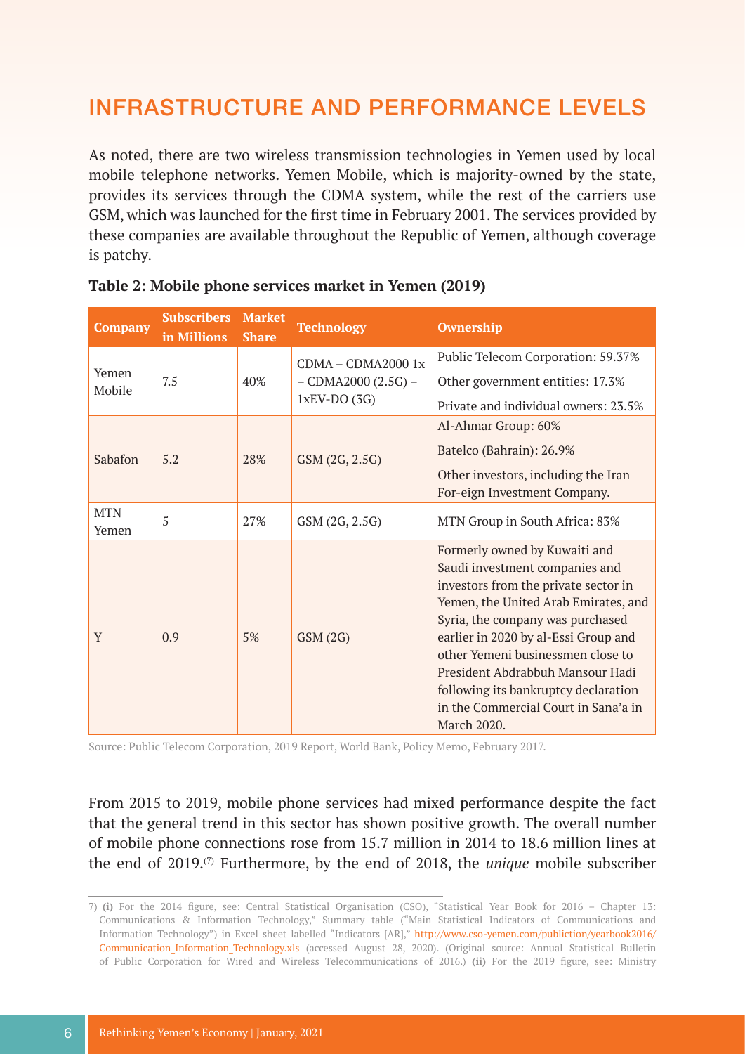## INFRASTRUCTURE AND PERFORMANCE LEVELS

As noted, there are two wireless transmission technologies in Yemen used by local mobile telephone networks. Yemen Mobile, which is majority-owned by the state, provides its services through the CDMA system, while the rest of the carriers use GSM, which was launched for the first time in February 2001. The services provided by these companies are available throughout the Republic of Yemen, although coverage is patchy.

| <b>Company</b>      | <b>Subscribers</b><br>in Millions | <b>Market</b><br><b>Share</b> | <b>Technology</b>                                               | <b>Ownership</b>                                                                                                                                                                                                                                                                                                                                                                                           |
|---------------------|-----------------------------------|-------------------------------|-----------------------------------------------------------------|------------------------------------------------------------------------------------------------------------------------------------------------------------------------------------------------------------------------------------------------------------------------------------------------------------------------------------------------------------------------------------------------------------|
| Yemen<br>Mobile     | 7.5                               | 40%                           | $CDMA - CDMA20001x$<br>$-$ CDMA2000 (2.5G) $-$<br>$1xEV-DO(3G)$ | Public Telecom Corporation: 59.37%<br>Other government entities: 17.3%<br>Private and individual owners: 23.5%                                                                                                                                                                                                                                                                                             |
| Sabafon             | 5.2                               | 28%                           | GSM (2G, 2.5G)                                                  | Al-Ahmar Group: 60%<br>Batelco (Bahrain): 26.9%<br>Other investors, including the Iran<br>For-eign Investment Company.                                                                                                                                                                                                                                                                                     |
| <b>MTN</b><br>Yemen | 5                                 | 27%                           | GSM (2G, 2.5G)                                                  | MTN Group in South Africa: 83%                                                                                                                                                                                                                                                                                                                                                                             |
| Y                   | 0.9                               | 5%                            | GSM(2G)                                                         | Formerly owned by Kuwaiti and<br>Saudi investment companies and<br>investors from the private sector in<br>Yemen, the United Arab Emirates, and<br>Syria, the company was purchased<br>earlier in 2020 by al-Essi Group and<br>other Yemeni businessmen close to<br>President Abdrabbuh Mansour Hadi<br>following its bankruptcy declaration<br>in the Commercial Court in Sana'a in<br><b>March 2020.</b> |

#### **Table 2: Mobile phone services market in Yemen (2019)**

Source: Public Telecom Corporation, 2019 Report, World Bank, Policy Memo, February 2017.

From 2015 to 2019, mobile phone services had mixed performance despite the fact that the general trend in this sector has shown positive growth. The overall number of mobile phone connections rose from 15.7 million in 2014 to 18.6 million lines at the end of 2019.(7) Furthermore, by the end of 2018, the *unique* mobile subscriber

<sup>7)</sup> **(i)** For the 2014 figure, see: Central Statistical Organisation (CSO), "Statistical Year Book for 2016 – Chapter 13: Communications & Information Technology," Summary table ("Main Statistical Indicators of Communications and Information Technology") in Excel sheet labelled "Indicators [AR]," [http://www.cso-yemen.com/publiction/yearbook2016/](http://www.cso-yemen.com/publiction/yearbook2016/Communication_Information_Technology.xls) Communication Information Technology.xls (accessed August 28, 2020). (Original source: Annual Statistical Bulletin of Public Corporation for Wired and Wireless Telecommunications of 2016.) **(ii)** For the 2019 figure, see: Ministry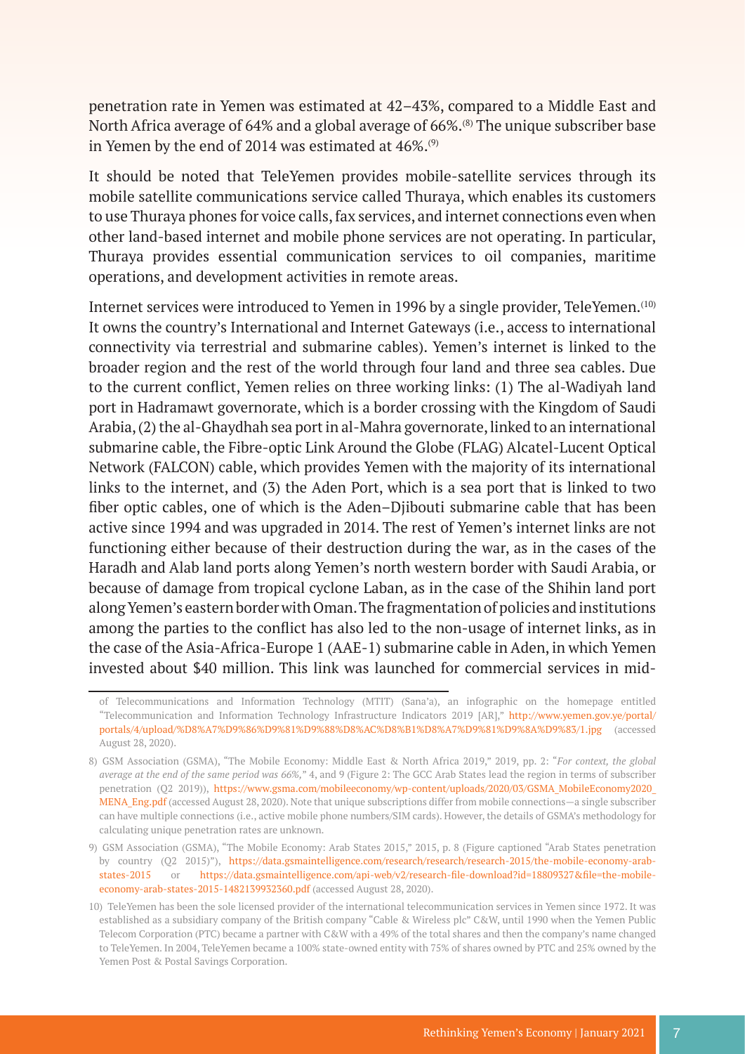penetration rate in Yemen was estimated at 42–43%, compared to a Middle East and North Africa average of 64% and a global average of 66%.<sup>(8)</sup> The unique subscriber base in Yemen by the end of 2014 was estimated at  $46\%$ .<sup>(9)</sup>

It should be noted that TeleYemen provides mobile-satellite services through its mobile satellite communications service called Thuraya, which enables its customers to use Thuraya phones for voice calls, fax services, and internet connections even when other land-based internet and mobile phone services are not operating. In particular, Thuraya provides essential communication services to oil companies, maritime operations, and development activities in remote areas.

Internet services were introduced to Yemen in 1996 by a single provider, TeleYemen.<sup>(10)</sup> It owns the country's International and Internet Gateways (i.e., access to international connectivity via terrestrial and submarine cables). Yemen's internet is linked to the broader region and the rest of the world through four land and three sea cables. Due to the current conflict, Yemen relies on three working links: (1) The al-Wadiyah land port in Hadramawt governorate, which is a border crossing with the Kingdom of Saudi Arabia, (2) the al-Ghaydhah sea port in al-Mahra governorate, linked to an international submarine cable, the Fibre-optic Link Around the Globe (FLAG) Alcatel-Lucent Optical Network (FALCON) cable, which provides Yemen with the majority of its international links to the internet, and (3) the Aden Port, which is a sea port that is linked to two fiber optic cables, one of which is the Aden–Djibouti submarine cable that has been active since 1994 and was upgraded in 2014. The rest of Yemen's internet links are not functioning either because of their destruction during the war, as in the cases of the Haradh and Alab land ports along Yemen's north western border with Saudi Arabia, or because of damage from tropical cyclone Laban, as in the case of the Shihin land port along Yemen's eastern border with Oman. The fragmentation of policies and institutions among the parties to the conflict has also led to the non-usage of internet links, as in the case of the Asia-Africa-Europe 1 (AAE-1) submarine cable in Aden, in which Yemen invested about \$40 million. This link was launched for commercial services in mid-

of Telecommunications and Information Technology (MTIT) (Sana'a), an infographic on the homepage entitled "Telecommunication and Information Technology Infrastructure Indicators 2019 [AR]," [http://www.yemen.gov.ye/portal/](http://www.yemen.gov.ye/portal/portals/4/upload/%D8%A7%D9%86%D9%81%D9%88%D8%AC%D8%B1%D8%A7%D9%81%D9%) [portals/4/upload/%D8%A7%D9%86%D9%81%D9%88%D8%AC%D8%B1%D8%A7%D9%81%D9%8A%D9%83/1.jpg](http://www.yemen.gov.ye/portal/portals/4/upload/%D8%A7%D9%86%D9%81%D9%88%D8%AC%D8%B1%D8%A7%D9%81%D9%) (accessed August 28, 2020).

<sup>8)</sup> GSM Association (GSMA), "The Mobile Economy: Middle East & North Africa 2019," 2019, pp. 2: "*For context, the global average at the end of the same period was 66%,*" 4, and 9 (Figure 2: The GCC Arab States lead the region in terms of subscriber penetration (Q2 2019)), [https://www.gsma.com/mobileeconomy/wp-content/uploads/2020/03/GSMA\\_MobileEconomy2020\\_](https://www.gsma.com/mobileeconomy/wp-content/uploads/2020/03/GSMA_MobileEconomy2020_MENA_Eng.pdf) MENA Eng.pdf (accessed August 28, 2020). Note that unique subscriptions differ from mobile connections—a single subscriber can have multiple connections (i.e., active mobile phone numbers/SIM cards). However, the details of GSMA's methodology for calculating unique penetration rates are unknown.

<sup>9)</sup> GSM Association (GSMA), "The Mobile Economy: Arab States 2015," 2015, p. 8 (Figure captioned "Arab States penetration by country (Q2 2015)"), [https://data.gsmaintelligence.com/research/research/research-2015/the-mobile-economy-arab](https://data.gsmaintelligence.com/research/research/research-2015/the-mobile-economy-arab-states-201)[states-2015](https://data.gsmaintelligence.com/research/research/research-2015/the-mobile-economy-arab-states-201) or [https://data.gsmaintelligence.com/api-web/v2/research-file-download?id=18809327&file=the-mobile](https://data.gsmaintelligence.com/api-web/v2/research-file-download?id=18809327&file=the-mobile-econ)[economy-arab-states-2015-1482139932360.pdf](https://data.gsmaintelligence.com/api-web/v2/research-file-download?id=18809327&file=the-mobile-econ) (accessed August 28, 2020).

<sup>10)</sup> TeleYemen has been the sole licensed provider of the international telecommunication services in Yemen since 1972. It was established as a subsidiary company of the British company "Cable & Wireless plc" C&W, until 1990 when the Yemen Public Telecom Corporation (PTC) became a partner with C&W with a 49% of the total shares and then the company's name changed to TeleYemen. In 2004, TeleYemen became a 100% state-owned entity with 75% of shares owned by PTC and 25% owned by the Yemen Post & Postal Savings Corporation.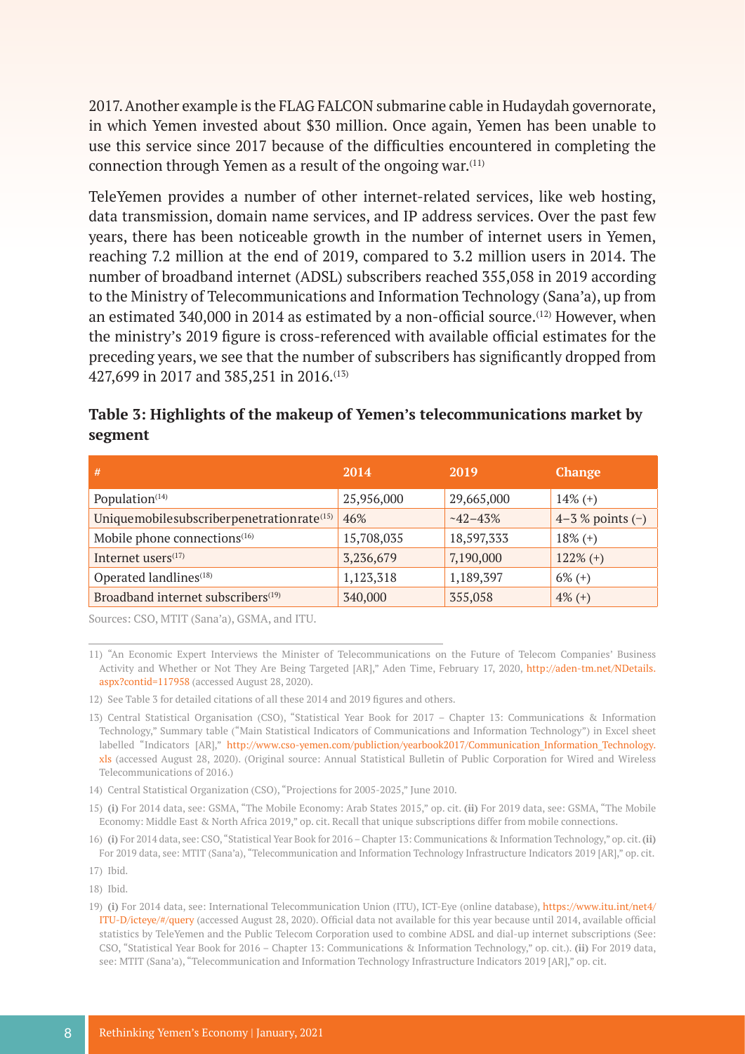2017. Another example is the FLAG FALCON submarine cable in Hudaydah governorate, in which Yemen invested about \$30 million. Once again, Yemen has been unable to use this service since 2017 because of the difficulties encountered in completing the connection through Yemen as a result of the ongoing war.(11)

TeleYemen provides a number of other internet-related services, like web hosting, data transmission, domain name services, and IP address services. Over the past few years, there has been noticeable growth in the number of internet users in Yemen, reaching 7.2 million at the end of 2019, compared to 3.2 million users in 2014. The number of broadband internet (ADSL) subscribers reached 355,058 in 2019 according to the Ministry of Telecommunications and Information Technology (Sana'a), up from an estimated 340,000 in 2014 as estimated by a non-official source.<sup>(12)</sup> However, when the ministry's 2019 figure is cross-referenced with available official estimates for the preceding years, we see that the number of subscribers has significantly dropped from 427,699 in 2017 and 385,251 in 2016.(13)

| Table 3: Highlights of the makeup of Yemen's telecommunications market by |  |
|---------------------------------------------------------------------------|--|
| segment                                                                   |  |

| #                                                     | 2014       | 2019        | <b>Change</b>        |
|-------------------------------------------------------|------------|-------------|----------------------|
| Population <sup>(14)</sup>                            | 25,956,000 | 29,665,000  | $14\%$ (+)           |
| Uniquemobilesubscriberpenetrationrate <sup>(15)</sup> | 46%        | $-42 - 43%$ | $4-3$ % points $(-)$ |
| Mobile phone connections <sup>(16)</sup>              | 15,708,035 | 18,597,333  | $18\%$ (+)           |
| Internet users <sup>(17)</sup>                        | 3,236,679  | 7,190,000   | $122\%$ (+)          |
| Operated landlines <sup>(18)</sup>                    | 1,123,318  | 1,189,397   | $6\% (+)$            |
| Broadband internet subscribers <sup>(19)</sup>        | 340,000    | 355,058     | $4\%$ (+)            |

Sources: CSO, MTIT (Sana'a), GSMA, and ITU.

11) "An Economic Expert Interviews the Minister of Telecommunications on the Future of Telecom Companies' Business Activity and Whether or Not They Are Being Targeted [AR]," Aden Time, February 17, 2020, [http://aden-tm.net/NDetails.](http://aden-tm.net/NDetails.aspx?contid=117958) [aspx?contid=117958](http://aden-tm.net/NDetails.aspx?contid=117958) (accessed August 28, 2020).

- 12) See Table 3 for detailed citations of all these 2014 and 2019 figures and others.
- 13) Central Statistical Organisation (CSO), "Statistical Year Book for 2017 Chapter 13: Communications & Information Technology," Summary table ("Main Statistical Indicators of Communications and Information Technology") in Excel sheet labelled "Indicators [AR]," http://www.cso-yemen.com/publiction/yearbook2017/Communication Information Technology. [xls](http://www.cso-yemen.com/publiction/yearbook2017/Communication_Information_Technology.xls) (accessed August 28, 2020). (Original source: Annual Statistical Bulletin of Public Corporation for Wired and Wireless Telecommunications of 2016.)

14) Central Statistical Organization (CSO), "Projections for 2005-2025," June 2010.

- 15) **(i)** For 2014 data, see: GSMA, "The Mobile Economy: Arab States 2015," op. cit. **(ii)** For 2019 data, see: GSMA, "The Mobile Economy: Middle East & North Africa 2019," op. cit. Recall that unique subscriptions differ from mobile connections.
- 16) **(i)** For 2014 data, see: CSO, "Statistical Year Book for 2016 Chapter 13: Communications & Information Technology," op. cit. **(ii)** For 2019 data, see: MTIT (Sana'a), "Telecommunication and Information Technology Infrastructure Indicators 2019 [AR]," op. cit.

18) Ibid.

<sup>17)</sup> Ibid.

<sup>19)</sup> **(i)** For 2014 data, see: International Telecommunication Union (ITU), ICT-Eye (online database), [https://www.itu.int/net4/](https://www.itu.int/net4/ITU-D/icteye/#/query) [ITU-D/icteye/#/query](https://www.itu.int/net4/ITU-D/icteye/#/query) (accessed August 28, 2020). Official data not available for this year because until 2014, available official statistics by TeleYemen and the Public Telecom Corporation used to combine ADSL and dial-up internet subscriptions (See: CSO, "Statistical Year Book for 2016 – Chapter 13: Communications & Information Technology," op. cit.). **(ii)** For 2019 data, see: MTIT (Sana'a), "Telecommunication and Information Technology Infrastructure Indicators 2019 [AR]," op. cit.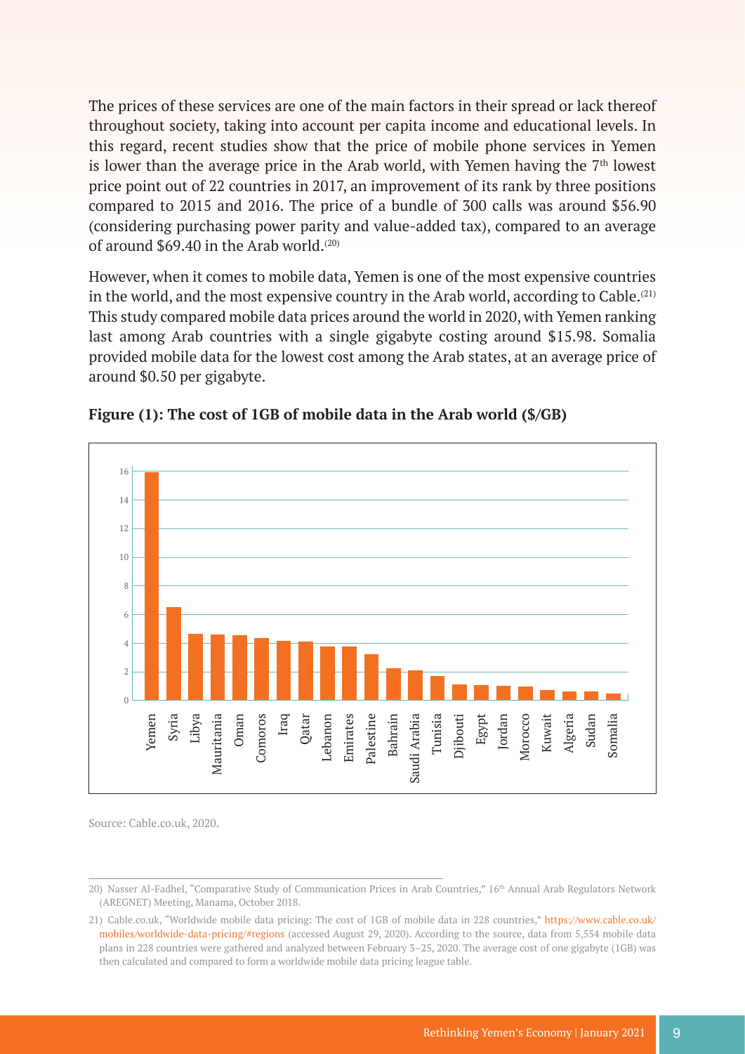The prices of these services are one of the main factors in their spread or lack thereof throughout society, taking into account per capita income and educational levels. In this regard, recent studies show that the price of mobile phone services in Yemen is lower than the average price in the Arab world, with Yemen having the  $7<sup>th</sup>$  lowest price point out of 22 countries in 2017, an improvement of its rank by three positions compared to 2015 and 2016. The price of a bundle of 300 calls was around \$56.90 (considering purchasing power parity and value-added tax), compared to an average of around  $$69.40$  in the Arab world.<sup>(20)</sup>

However, when it comes to mobile data, Yemen is one of the most expensive countries in the world, and the most expensive country in the Arab world, according to Cable.<sup> $(21)$ </sup> This study compared mobile data prices around the world in 2020, with Yemen ranking last among Arab countries with a single gigabyte costing around \$15.98. Somalia provided mobile data for the lowest cost among the Arab states, at an average price of around \$0.50 per gigabyte.





Source: Cable.co.uk, 2020.

<sup>20)</sup> Nasser Al-Fadhel, "Comparative Study of Communication Prices in Arab Countries," 16th Annual Arab Regulators Network (AREGNET) Meeting, Manama, October 2018.

<sup>21)</sup> Cable.co.uk, "Worldwide mobile data pricing: The cost of 1GB of mobile data in 228 countries," [https://www.cable.co.uk/](https://www.cable.co.uk/mobiles/worldwide-data-pricing/#regions) [mobiles/worldwide-data-pricing/#regions](https://www.cable.co.uk/mobiles/worldwide-data-pricing/#regions) (accessed August 29, 2020). According to the source, data from 5,554 mobile data plans in 228 countries were gathered and analyzed between February 3–25, 2020. The average cost of one gigabyte (1GB) was then calculated and compared to form a worldwide mobile data pricing league table.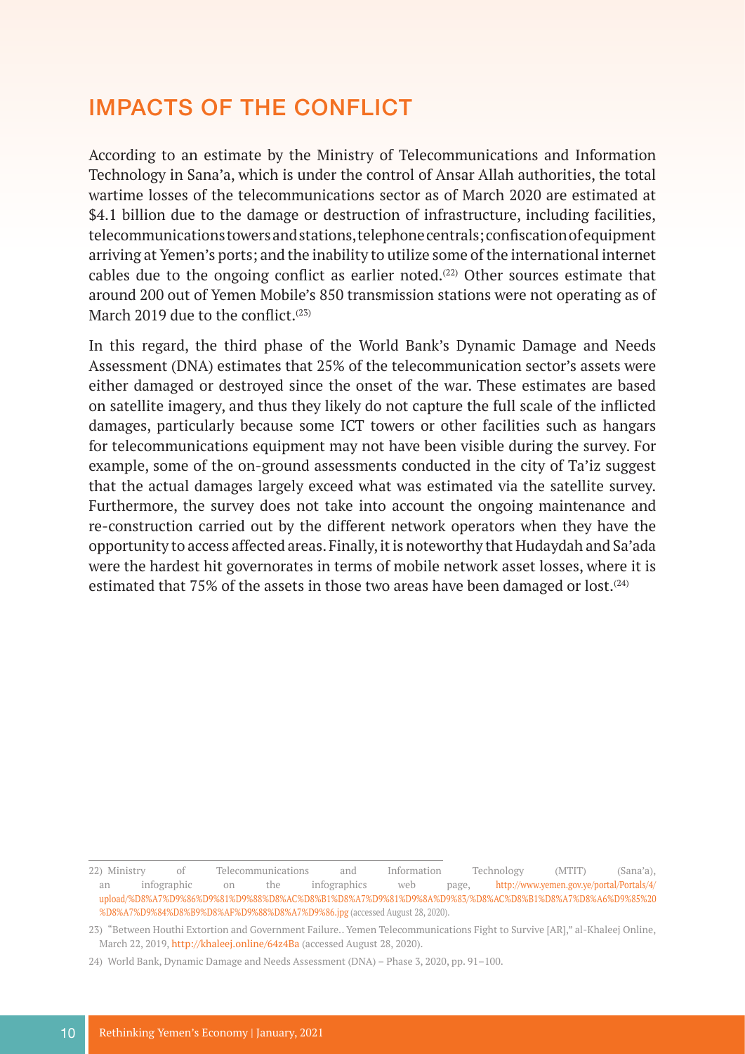### IMPACTS OF THE CONFLICT

According to an estimate by the Ministry of Telecommunications and Information Technology in Sana'a, which is under the control of Ansar Allah authorities, the total wartime losses of the telecommunications sector as of March 2020 are estimated at \$4.1 billion due to the damage or destruction of infrastructure, including facilities, telecommunications towers and stations, telephone centrals; confiscation of equipment arriving at Yemen's ports; and the inability to utilize some of the international internet cables due to the ongoing conflict as earlier noted. $(22)$  Other sources estimate that around 200 out of Yemen Mobile's 850 transmission stations were not operating as of March 2019 due to the conflict.<sup>(23)</sup>

In this regard, the third phase of the World Bank's Dynamic Damage and Needs Assessment (DNA) estimates that 25% of the telecommunication sector's assets were either damaged or destroyed since the onset of the war. These estimates are based on satellite imagery, and thus they likely do not capture the full scale of the inflicted damages, particularly because some ICT towers or other facilities such as hangars for telecommunications equipment may not have been visible during the survey. For example, some of the on-ground assessments conducted in the city of Ta'iz suggest that the actual damages largely exceed what was estimated via the satellite survey. Furthermore, the survey does not take into account the ongoing maintenance and re-construction carried out by the different network operators when they have the opportunity to access affected areas. Finally, it is noteworthy that Hudaydah and Sa'ada were the hardest hit governorates in terms of mobile network asset losses, where it is estimated that 75% of the assets in those two areas have been damaged or lost.<sup> $(24)$ </sup>

<sup>22)</sup> Ministry of Telecommunications and Information Technology (MTIT) (Sana'a), an infographic on the infographics web page, [http://www.yemen.gov.ye/portal/Portals/4/](http://www.yemen.gov.ye/portal/Portals/4/upload/%D8%A7%D9%86%D9%81%D9%88%D8%AC%D8%B1%D8%A7%D9%81%D9%) [upload/%D8%A7%D9%86%D9%81%D9%88%D8%AC%D8%B1%D8%A7%D9%81%D9%8A%D9%83/%D8%AC%D8%B1%D8%A7%D8%A6%D9%85%20](http://www.yemen.gov.ye/portal/Portals/4/upload/%D8%A7%D9%86%D9%81%D9%88%D8%AC%D8%B1%D8%A7%D9%81%D9%) [%D8%A7%D9%84%D8%B9%D8%AF%D9%88%D8%A7%D9%86.jpg](http://www.yemen.gov.ye/portal/Portals/4/upload/%D8%A7%D9%86%D9%81%D9%88%D8%AC%D8%B1%D8%A7%D9%81%D9%) (accessed August 28, 2020).

<sup>23)</sup> "Between Houthi Extortion and Government Failure.. Yemen Telecommunications Fight to Survive [AR]," al-Khaleej Online, March 22, 2019,<http://khaleej.online/64z4Ba> (accessed August 28, 2020).

<sup>24)</sup> World Bank, Dynamic Damage and Needs Assessment (DNA) – Phase 3, 2020, pp. 91–100.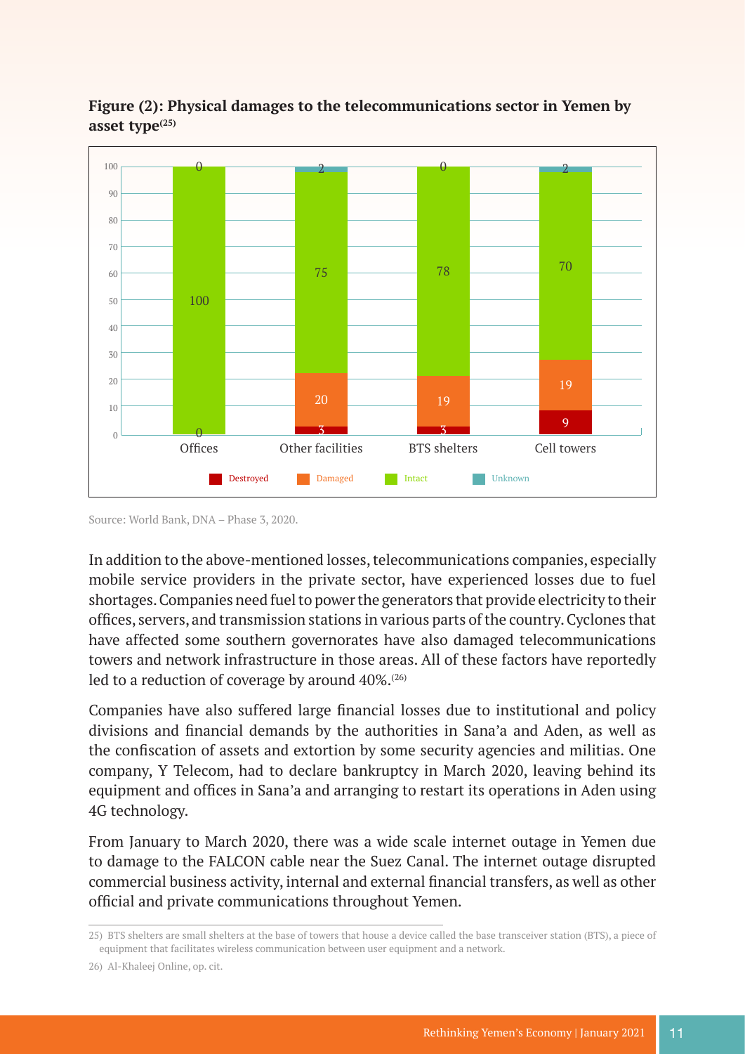

**Figure (2): Physical damages to the telecommunications sector in Yemen by asset type(25)**

Source: World Bank, DNA – Phase 3, 2020.

In addition to the above-mentioned losses, telecommunications companies, especially mobile service providers in the private sector, have experienced losses due to fuel shortages. Companies need fuel to power the generators that provide electricity to their offices, servers, and transmission stations in various parts of the country. Cyclones that have affected some southern governorates have also damaged telecommunications towers and network infrastructure in those areas. All of these factors have reportedly led to a reduction of coverage by around  $40\%$ .<sup>(26)</sup>

Companies have also suffered large financial losses due to institutional and policy divisions and financial demands by the authorities in Sana'a and Aden, as well as the confiscation of assets and extortion by some security agencies and militias. One company, Y Telecom, had to declare bankruptcy in March 2020, leaving behind its equipment and offices in Sana'a and arranging to restart its operations in Aden using 4G technology.

From January to March 2020, there was a wide scale internet outage in Yemen due to damage to the FALCON cable near the Suez Canal. The internet outage disrupted commercial business activity, internal and external financial transfers, as well as other official and private communications throughout Yemen.

<sup>25)</sup> BTS shelters are small shelters at the base of towers that house a device called the base transceiver station (BTS), a piece of equipment that facilitates wireless communication between user equipment and a network.

<sup>26)</sup> Al-Khaleej Online, op. cit.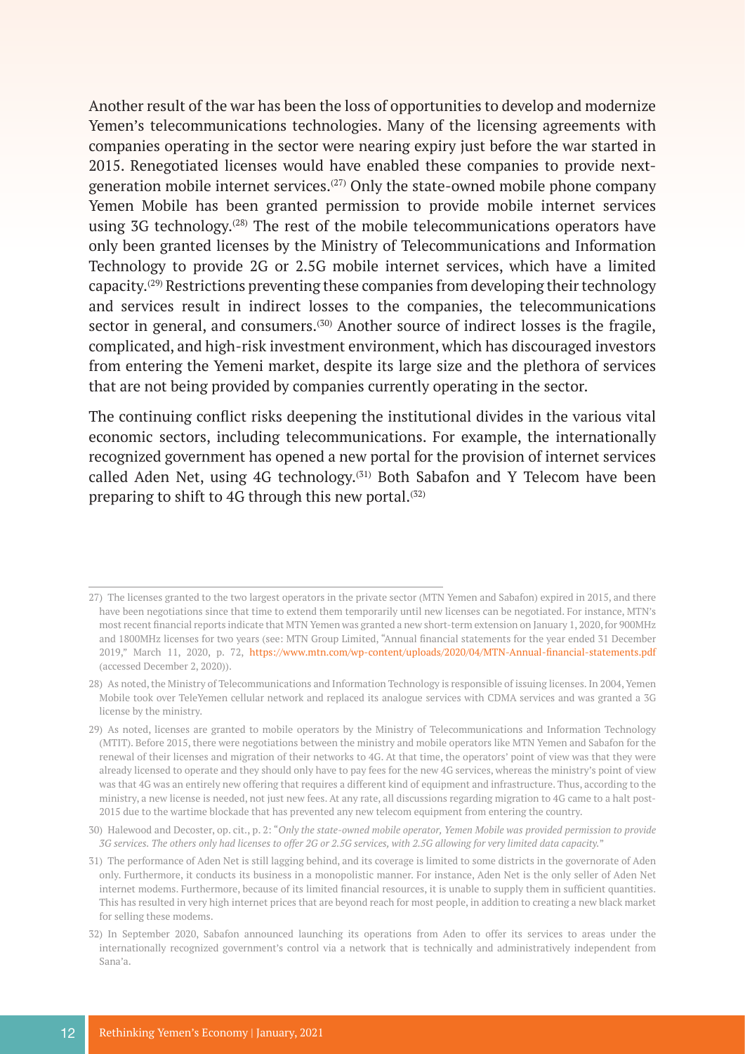Another result of the war has been the loss of opportunities to develop and modernize Yemen's telecommunications technologies. Many of the licensing agreements with companies operating in the sector were nearing expiry just before the war started in 2015. Renegotiated licenses would have enabled these companies to provide nextgeneration mobile internet services.(27) Only the state-owned mobile phone company Yemen Mobile has been granted permission to provide mobile internet services using  $3G$  technology.<sup>(28)</sup> The rest of the mobile telecommunications operators have only been granted licenses by the Ministry of Telecommunications and Information Technology to provide 2G or 2.5G mobile internet services, which have a limited capacity.(29) Restrictions preventing these companies from developing their technology and services result in indirect losses to the companies, the telecommunications sector in general, and consumers.<sup>(30)</sup> Another source of indirect losses is the fragile, complicated, and high-risk investment environment, which has discouraged investors from entering the Yemeni market, despite its large size and the plethora of services that are not being provided by companies currently operating in the sector.

The continuing conflict risks deepening the institutional divides in the various vital economic sectors, including telecommunications. For example, the internationally recognized government has opened a new portal for the provision of internet services called Aden Net, using 4G technology.<sup>(31)</sup> Both Sabafon and Y Telecom have been preparing to shift to 4G through this new portal. $(32)$ 

<sup>27)</sup> The licenses granted to the two largest operators in the private sector (MTN Yemen and Sabafon) expired in 2015, and there have been negotiations since that time to extend them temporarily until new licenses can be negotiated. For instance, MTN's most recent financial reports indicate that MTN Yemen was granted a new short-term extension on January 1, 2020, for 900MHz and 1800MHz licenses for two years (see: MTN Group Limited, "Annual financial statements for the year ended 31 December 2019," March 11, 2020, p. 72, <https://www.mtn.com/wp-content/uploads/2020/04/MTN-Annual-financial-statements.pdf> (accessed December 2, 2020)).

<sup>28)</sup> As noted, the Ministry of Telecommunications and Information Technology is responsible of issuing licenses. In 2004, Yemen Mobile took over TeleYemen cellular network and replaced its analogue services with CDMA services and was granted a 3G license by the ministry.

<sup>29)</sup> As noted, licenses are granted to mobile operators by the Ministry of Telecommunications and Information Technology (MTIT). Before 2015, there were negotiations between the ministry and mobile operators like MTN Yemen and Sabafon for the renewal of their licenses and migration of their networks to 4G. At that time, the operators' point of view was that they were already licensed to operate and they should only have to pay fees for the new 4G services, whereas the ministry's point of view was that 4G was an entirely new offering that requires a different kind of equipment and infrastructure. Thus, according to the ministry, a new license is needed, not just new fees. At any rate, all discussions regarding migration to 4G came to a halt post-2015 due to the wartime blockade that has prevented any new telecom equipment from entering the country.

<sup>30)</sup> Halewood and Decoster, op. cit., p. 2: "*Only the state-owned mobile operator, Yemen Mobile was provided permission to provide 3G services. The others only had licenses to offer 2G or 2.5G services, with 2.5G allowing for very limited data capacity.*"

<sup>31)</sup> The performance of Aden Net is still lagging behind, and its coverage is limited to some districts in the governorate of Aden only. Furthermore, it conducts its business in a monopolistic manner. For instance, Aden Net is the only seller of Aden Net internet modems. Furthermore, because of its limited financial resources, it is unable to supply them in sufficient quantities. This has resulted in very high internet prices that are beyond reach for most people, in addition to creating a new black market for selling these modems.

<sup>32)</sup> In September 2020, Sabafon announced launching its operations from Aden to offer its services to areas under the internationally recognized government's control via a network that is technically and administratively independent from Sana'a.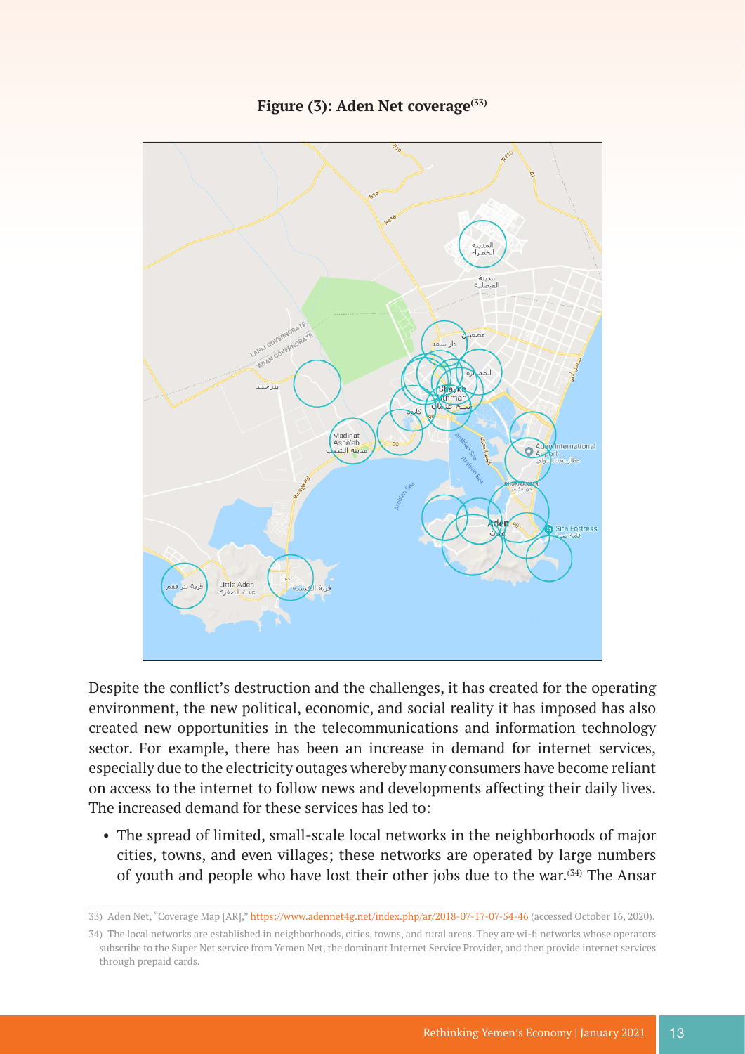

#### Figure (3): Aden Net coverage<sup>(33)</sup>

Despite the conflict's destruction and the challenges, it has created for the operating environment, the new political, economic, and social reality it has imposed has also created new opportunities in the telecommunications and information technology sector. For example, there has been an increase in demand for internet services, especially due to the electricity outages whereby many consumers have become reliant on access to the internet to follow news and developments affecting their daily lives. The increased demand for these services has led to:

• The spread of limited, small-scale local networks in the neighborhoods of major cities, towns, and even villages; these networks are operated by large numbers of youth and people who have lost their other jobs due to the war.(34) The Ansar

<sup>33)</sup> Aden Net, "Coverage Map [AR],"<https://www.adennet4g.net/index.php/ar/2018-07-17-07-54-46> (accessed October 16, 2020).

<sup>34</sup>) The local networks are established in neighborhoods, cities, towns, and rural areas. They are wi-fi networks whose operators subscribe to the Super Net service from Yemen Net, the dominant Internet Service Provider, and then provide internet services through prepaid cards.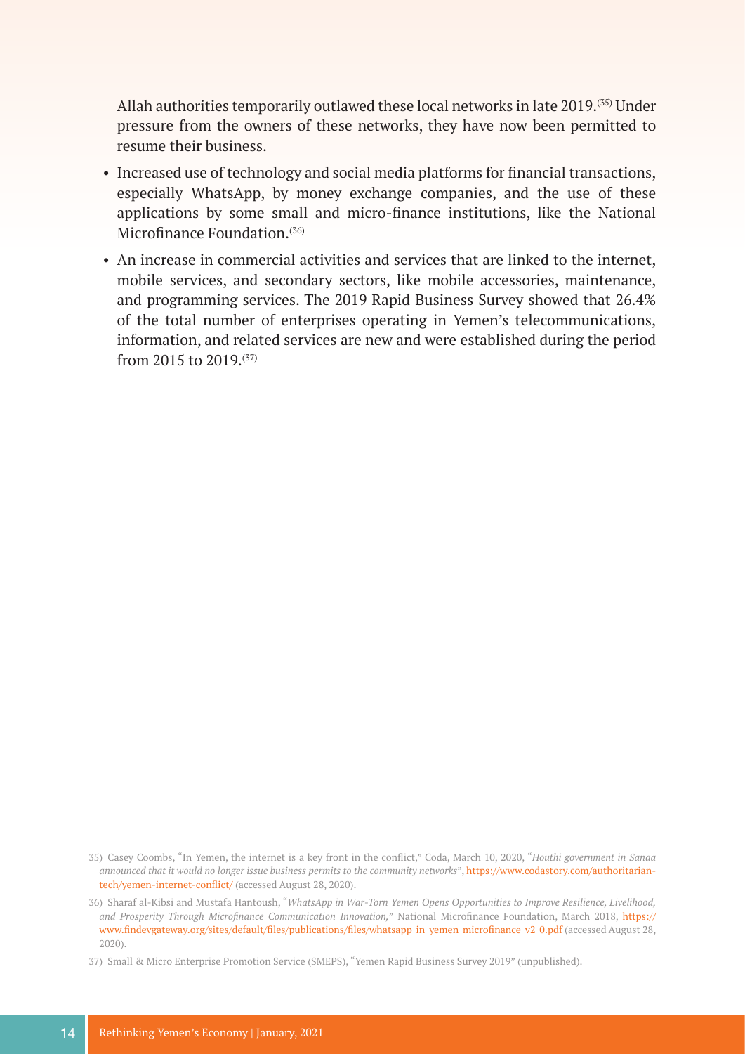Allah authorities temporarily outlawed these local networks in late 2019.(35) Under pressure from the owners of these networks, they have now been permitted to resume their business.

- Increased use of technology and social media platforms for financial transactions, especially WhatsApp, by money exchange companies, and the use of these applications by some small and micro-finance institutions, like the National Microfinance Foundation.<sup>(36)</sup>
- An increase in commercial activities and services that are linked to the internet, mobile services, and secondary sectors, like mobile accessories, maintenance, and programming services. The 2019 Rapid Business Survey showed that 26.4% of the total number of enterprises operating in Yemen's telecommunications, information, and related services are new and were established during the period from 2015 to 2019.(37)

<sup>35</sup>) Casey Coombs, "In Yemen, the internet is a key front in the conflict," Coda, March 10, 2020, "*Houthi government in Sanaa announced that it would no longer issue business permits to the community networks*", [https://www.codastory.com/authoritarian](https://www.codastory.com/authoritarian-tech/yemen-internet-conflict/)[tech/yemen-internet-conflict/](https://www.codastory.com/authoritarian-tech/yemen-internet-conflict/) (accessed August 28, 2020).

<sup>36)</sup> Sharaf al-Kibsi and Mustafa Hantoush, "*WhatsApp in War-Torn Yemen Opens Opportunities to Improve Resilience, Livelihood, and Prosperity Through Microfinance Communication Innovation,*" National Microfinance Foundation, March 2018, [https://](https://www.findevgateway.org/sites/default/files/publications/files/whatsapp_in_yemen_microfinance_) [www.findevgateway.org/sites/default/files/publications/files/whatsapp\\_in\\_yemen\\_microfinance\\_v2\\_0.pdf](https://www.findevgateway.org/sites/default/files/publications/files/whatsapp_in_yemen_microfinance_) (accessed August 28, 2020).

<sup>37)</sup> Small & Micro Enterprise Promotion Service (SMEPS), "Yemen Rapid Business Survey 2019" (unpublished).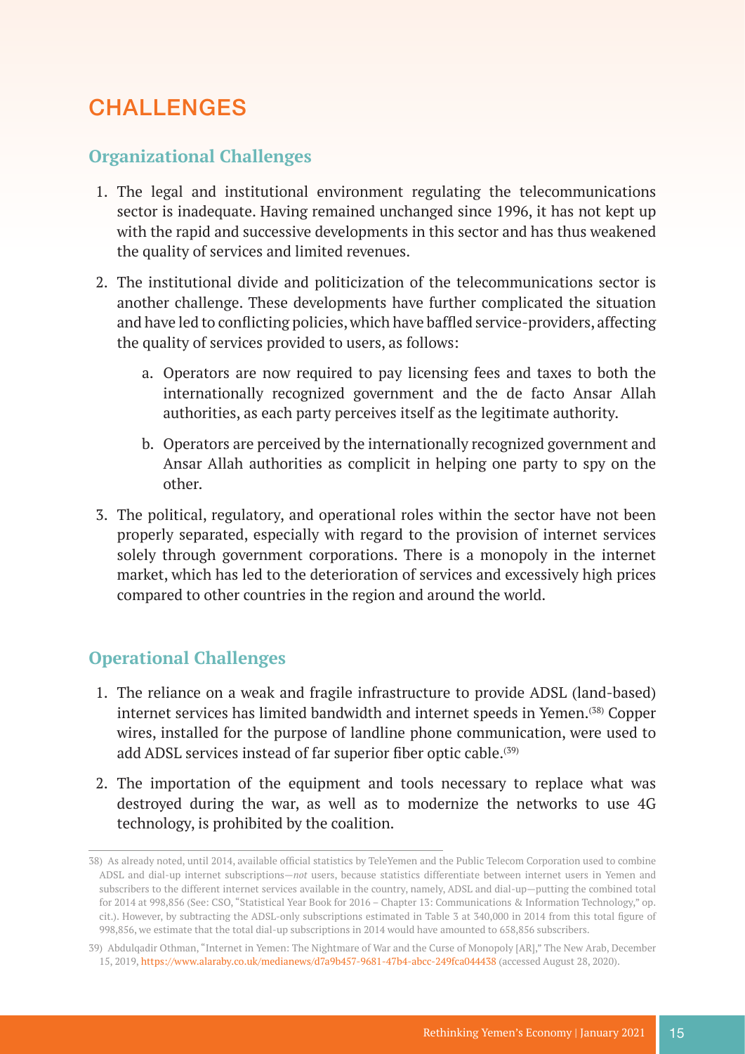# **CHALLENGES**

#### **Organizational Challenges**

- 1. The legal and institutional environment regulating the telecommunications sector is inadequate. Having remained unchanged since 1996, it has not kept up with the rapid and successive developments in this sector and has thus weakened the quality of services and limited revenues.
- 2. The institutional divide and politicization of the telecommunications sector is another challenge. These developments have further complicated the situation and have led to conflicting policies, which have baffled service-providers, affecting the quality of services provided to users, as follows:
	- a. Operators are now required to pay licensing fees and taxes to both the internationally recognized government and the de facto Ansar Allah authorities, as each party perceives itself as the legitimate authority.
	- b. Operators are perceived by the internationally recognized government and Ansar Allah authorities as complicit in helping one party to spy on the other.
- 3. The political, regulatory, and operational roles within the sector have not been properly separated, especially with regard to the provision of internet services solely through government corporations. There is a monopoly in the internet market, which has led to the deterioration of services and excessively high prices compared to other countries in the region and around the world.

### **Operational Challenges**

- 1. The reliance on a weak and fragile infrastructure to provide ADSL (land-based) internet services has limited bandwidth and internet speeds in Yemen.<sup>(38)</sup> Copper wires, installed for the purpose of landline phone communication, were used to add ADSL services instead of far superior fiber optic cable.<sup>(39)</sup>
- 2. The importation of the equipment and tools necessary to replace what was destroyed during the war, as well as to modernize the networks to use 4G technology, is prohibited by the coalition.

<sup>38</sup>) As already noted, until 2014, available official statistics by TeleYemen and the Public Telecom Corporation used to combine ADSL and dial-up internet subscriptions—*not* users, because statistics differentiate between internet users in Yemen and subscribers to the different internet services available in the country, namely, ADSL and dial-up—putting the combined total for 2014 at 998,856 (See: CSO, "Statistical Year Book for 2016 – Chapter 13: Communications & Information Technology," op. cit.). However, by subtracting the ADSL-only subscriptions estimated in Table 3 at 340,000 in 2014 from this total figure of 998,856, we estimate that the total dial-up subscriptions in 2014 would have amounted to 658,856 subscribers.

<sup>39)</sup> Abdulqadir Othman, "Internet in Yemen: The Nightmare of War and the Curse of Monopoly [AR]," The New Arab, December 15, 2019, <https://www.alaraby.co.uk/medianews/d7a9b457-9681-47b4-abcc-249fca044438>(accessed August 28, 2020).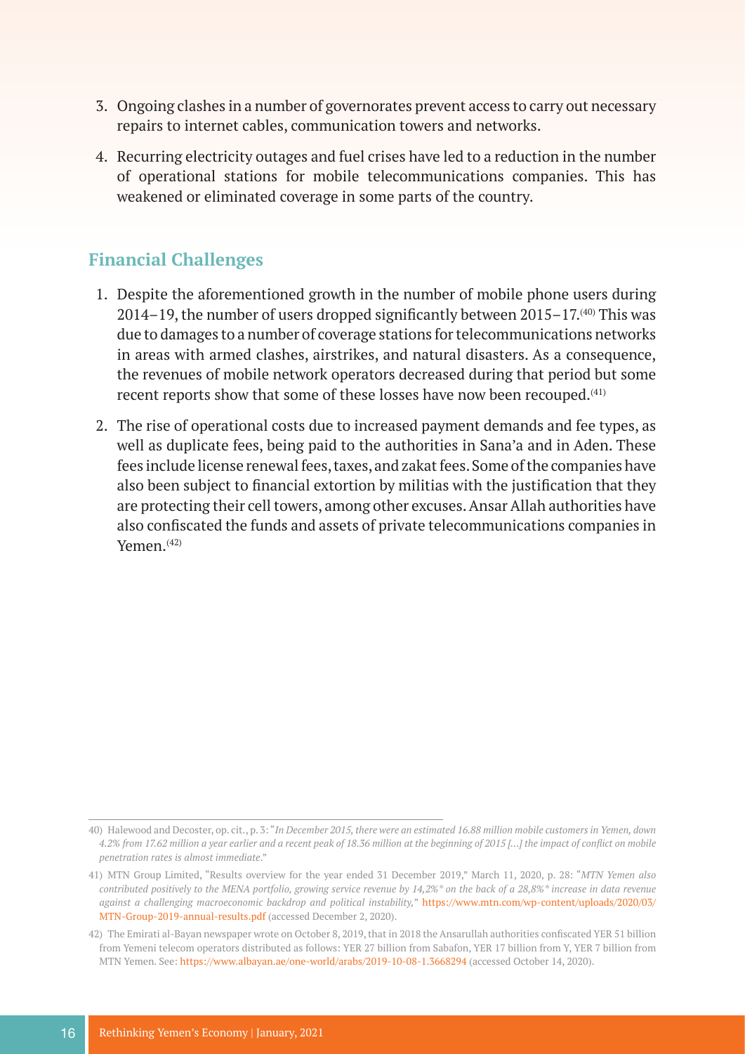- 3. Ongoing clashes in a number of governorates prevent access to carry out necessary repairs to internet cables, communication towers and networks.
- 4. Recurring electricity outages and fuel crises have led to a reduction in the number of operational stations for mobile telecommunications companies. This has weakened or eliminated coverage in some parts of the country.

#### **Financial Challenges**

- 1. Despite the aforementioned growth in the number of mobile phone users during 2014–19, the number of users dropped significantly between  $2015-17$ .<sup>(40)</sup> This was due to damages to a number of coverage stations for telecommunications networks in areas with armed clashes, airstrikes, and natural disasters. As a consequence, the revenues of mobile network operators decreased during that period but some recent reports show that some of these losses have now been recouped.<sup>(41)</sup>
- 2. The rise of operational costs due to increased payment demands and fee types, as well as duplicate fees, being paid to the authorities in Sana'a and in Aden. These fees include license renewal fees, taxes, and zakat fees. Some of the companies have also been subject to financial extortion by militias with the justification that they are protecting their cell towers, among other excuses. Ansar Allah authorities have also confiscated the funds and assets of private telecommunications companies in Yemen.(42)

<sup>40)</sup> Halewood and Decoster, op. cit., p. 3: "*In December 2015, there were an estimated 16.88 million mobile customers in Yemen, down 4.2% from 17.62 million a year earlier and a recent peak of 18.36 million at the beginning of 2015 […] the impact of conflict on mobile penetration rates is almost immediate*."

<sup>41)</sup> MTN Group Limited, "Results overview for the year ended 31 December 2019," March 11, 2020, p. 28: "*MTN Yemen also contributed positively to the MENA portfolio, growing service revenue by 14,2%\* on the back of a 28,8%\* increase in data revenue against a challenging macroeconomic backdrop and political instability,*" [https://www.mtn.com/wp-content/uploads/2020/03/](https://www.mtn.com/wp-content/uploads/2020/03/MTN-Group-2019-annual-results.pdf) [MTN-Group-2019-annual-results.pdf](https://www.mtn.com/wp-content/uploads/2020/03/MTN-Group-2019-annual-results.pdf) (accessed December 2, 2020).

<sup>42</sup>) The Emirati al-Bayan newspaper wrote on October 8, 2019, that in 2018 the Ansarullah authorities confiscated YER 51 billion from Yemeni telecom operators distributed as follows: YER 27 billion from Sabafon, YER 17 billion from Y, YER 7 billion from MTN Yemen. See: <https://www.albayan.ae/one-world/arabs/2019-10-08-1.3668294> (accessed October 14, 2020).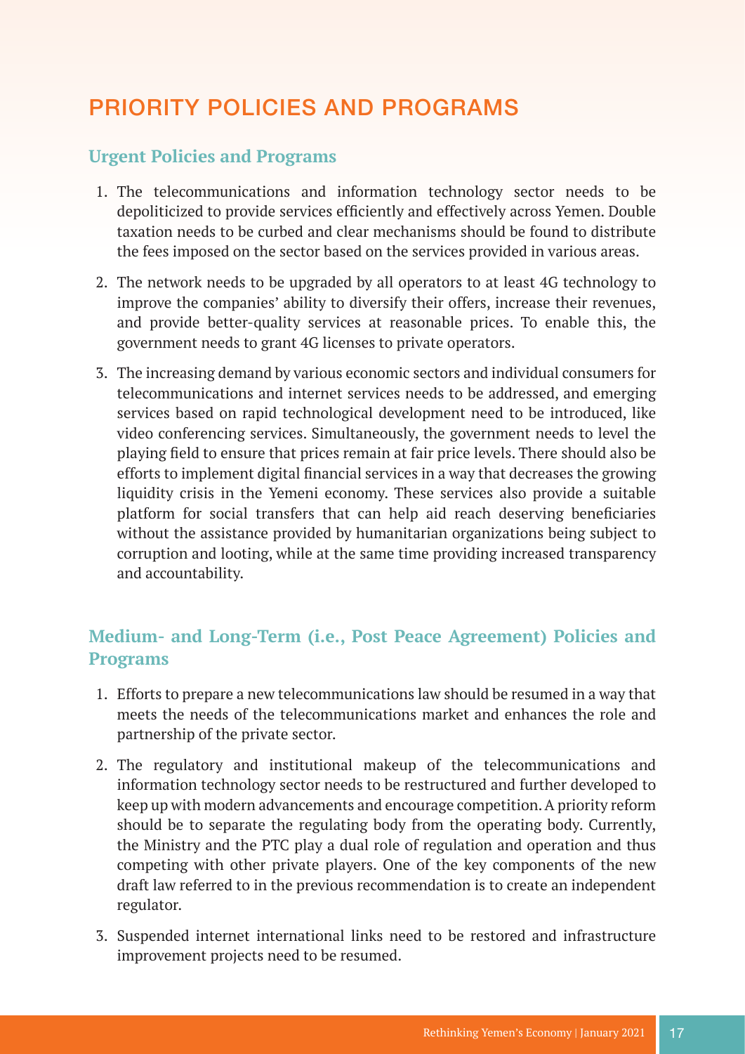# PRIORITY POLICIES AND PROGRAMS

### **Urgent Policies and Programs**

- 1. The telecommunications and information technology sector needs to be depoliticized to provide services efficiently and effectively across Yemen. Double taxation needs to be curbed and clear mechanisms should be found to distribute the fees imposed on the sector based on the services provided in various areas.
- 2. The network needs to be upgraded by all operators to at least 4G technology to improve the companies' ability to diversify their offers, increase their revenues, and provide better-quality services at reasonable prices. To enable this, the government needs to grant 4G licenses to private operators.
- 3. The increasing demand by various economic sectors and individual consumers for telecommunications and internet services needs to be addressed, and emerging services based on rapid technological development need to be introduced, like video conferencing services. Simultaneously, the government needs to level the playing field to ensure that prices remain at fair price levels. There should also be efforts to implement digital financial services in a way that decreases the growing liquidity crisis in the Yemeni economy. These services also provide a suitable platform for social transfers that can help aid reach deserving beneficiaries without the assistance provided by humanitarian organizations being subject to corruption and looting, while at the same time providing increased transparency and accountability.

### **Medium- and Long-Term (i.e., Post Peace Agreement) Policies and Programs**

- 1. Efforts to prepare a new telecommunications law should be resumed in a way that meets the needs of the telecommunications market and enhances the role and partnership of the private sector.
- 2. The regulatory and institutional makeup of the telecommunications and information technology sector needs to be restructured and further developed to keep up with modern advancements and encourage competition. A priority reform should be to separate the regulating body from the operating body. Currently, the Ministry and the PTC play a dual role of regulation and operation and thus competing with other private players. One of the key components of the new draft law referred to in the previous recommendation is to create an independent regulator.
- 3. Suspended internet international links need to be restored and infrastructure improvement projects need to be resumed.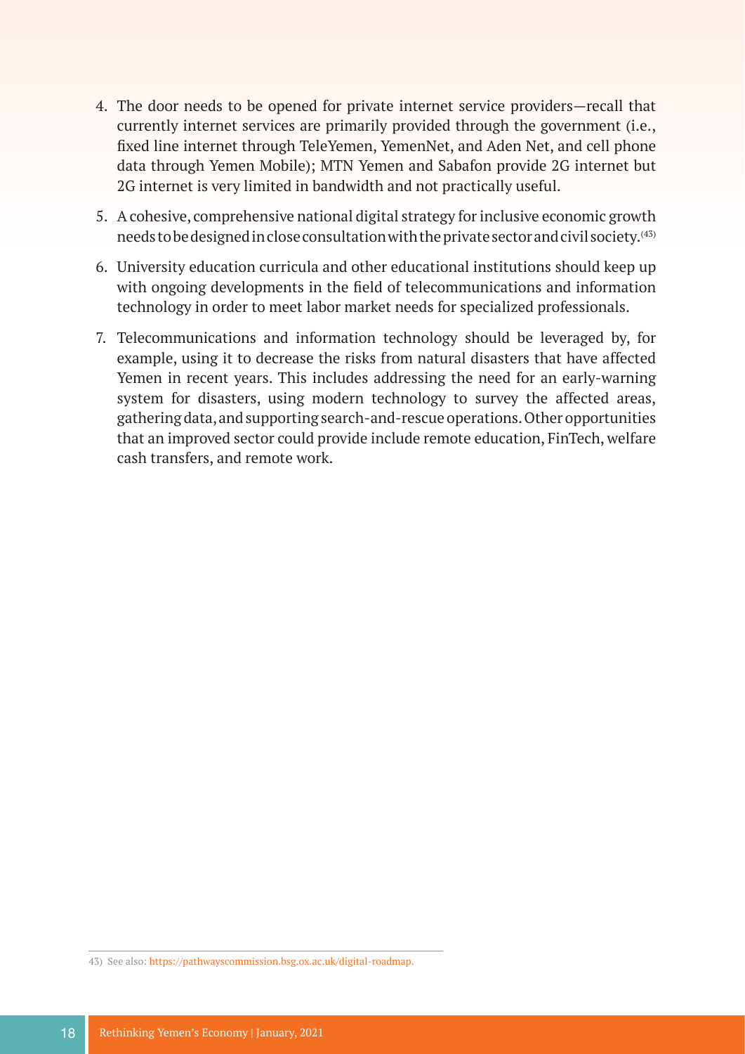- 4. The door needs to be opened for private internet service providers—recall that currently internet services are primarily provided through the government (i.e., fixed line internet through TeleYemen, YemenNet, and Aden Net, and cell phone data through Yemen Mobile); MTN Yemen and Sabafon provide 2G internet but 2G internet is very limited in bandwidth and not practically useful.
- 5. A cohesive, comprehensive national digital strategy for inclusive economic growth needs to be designed in close consultation with the private sector and civil society.(43)
- 6. University education curricula and other educational institutions should keep up with ongoing developments in the field of telecommunications and information technology in order to meet labor market needs for specialized professionals.
- 7. Telecommunications and information technology should be leveraged by, for example, using it to decrease the risks from natural disasters that have affected Yemen in recent years. This includes addressing the need for an early-warning system for disasters, using modern technology to survey the affected areas, gathering data, and supporting search-and-rescue operations. Other opportunities that an improved sector could provide include remote education, FinTech, welfare cash transfers, and remote work.

<sup>43)</sup> See also: [https://pathwayscommission.bsg.ox.ac.uk/digital-roadmap.](https://pathwayscommission.bsg.ox.ac.uk/digital-roadmap)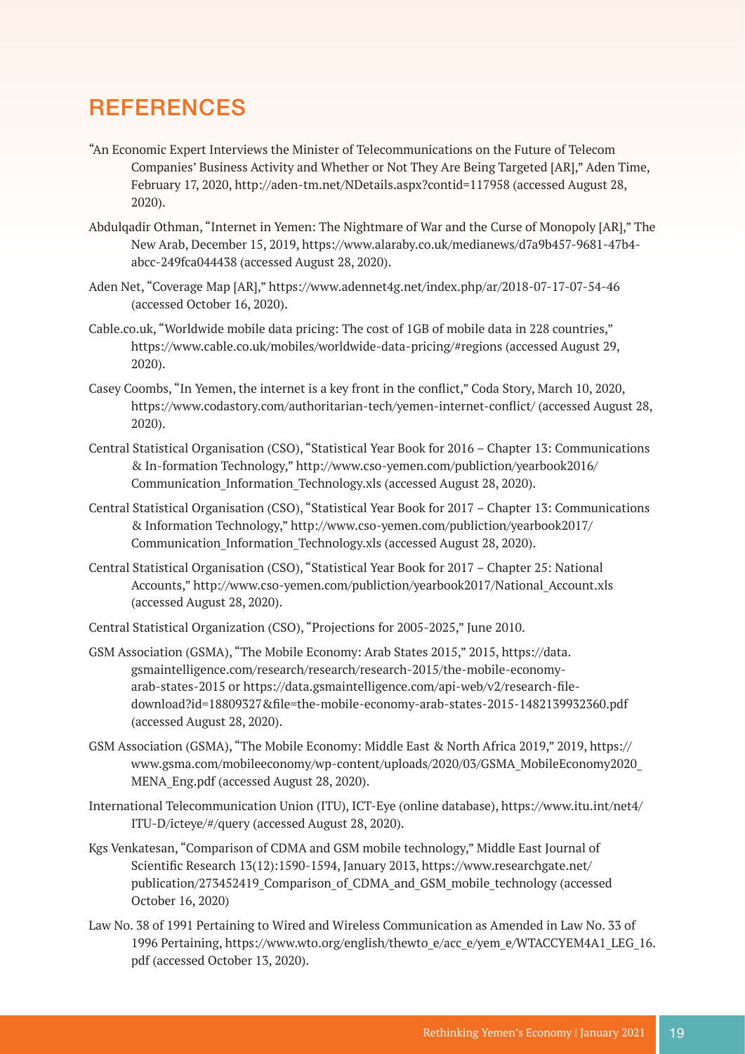### **REFERENCES**

- "An Economic Expert Interviews the Minister of Telecommunications on the Future of Telecom Companies' Business Activity and Whether or Not They Are Being Targeted [AR]," Aden Time, February 17, 2020, http://aden-tm.net/NDetails.aspx?contid=117958 (accessed August 28, 2020).
- Abdulqadir Othman, "Internet in Yemen: The Nightmare of War and the Curse of Monopoly [AR]," The New Arab, December 15, 2019, https://www.alaraby.co.uk/medianews/d7a9b457-9681-47b4 abcc-249fca044438 (accessed August 28, 2020).
- Aden Net, "Coverage Map [AR]," https://www.adennet4g.net/index.php/ar/2018-07-17-07-54-46 (accessed October 16, 2020).
- Cable.co.uk, "Worldwide mobile data pricing: The cost of 1GB of mobile data in 228 countries," https://www.cable.co.uk/mobiles/worldwide-data-pricing/#regions (accessed August 29, 2020).
- Casey Coombs, "In Yemen, the internet is a key front in the conflict," Coda Story, March 10, 2020, https://www.codastory.com/authoritarian-tech/yemen-internet-conflict/ (accessed August 28, 2020).
- Central Statistical Organisation (CSO), "Statistical Year Book for 2016 Chapter 13: Communications & In-formation Technology," http://www.cso-yemen.com/publiction/yearbook2016/ Communication\_Information\_Technology.xls (accessed August 28, 2020).
- Central Statistical Organisation (CSO), "Statistical Year Book for 2017 Chapter 13: Communications & Information Technology," http://www.cso-yemen.com/publiction/yearbook2017/ Communication\_Information\_Technology.xls (accessed August 28, 2020).
- Central Statistical Organisation (CSO), "Statistical Year Book for 2017 Chapter 25: National Accounts," http://www.cso-yemen.com/publiction/yearbook2017/National\_Account.xls (accessed August 28, 2020).
- Central Statistical Organization (CSO), "Projections for 2005-2025," June 2010.
- GSM Association (GSMA), "The Mobile Economy: Arab States 2015," 2015, https://data. gsmaintelligence.com/research/research/research-2015/the-mobile-economyarab-states-2015 or https://data.gsmaintelligence.com/api-web/v2/research-filedownload?id=18809327&file=the-mobile-economy-arab-states-2015-1482139932360.pdf (accessed August 28, 2020).
- GSM Association (GSMA), "The Mobile Economy: Middle East & North Africa 2019," 2019, https:// www.gsma.com/mobileeconomy/wp-content/uploads/2020/03/GSMA\_MobileEconomy2020\_ MENA\_Eng.pdf (accessed August 28, 2020).
- International Telecommunication Union (ITU), ICT-Eye (online database), https://www.itu.int/net4/ ITU-D/icteye/#/query (accessed August 28, 2020).
- Kgs Venkatesan, "Comparison of CDMA and GSM mobile technology," Middle East Journal of Scientific Research 13(12):1590-1594, January 2013, https://www.researchgate.net/ publication/273452419 Comparison of CDMA and GSM mobile technology (accessed October 16, 2020)
- Law No. 38 of 1991 Pertaining to Wired and Wireless Communication as Amended in Law No. 33 of 1996 Pertaining, https://www.wto.org/english/thewto\_e/acc\_e/yem\_e/WTACCYEM4A1\_LEG\_16. pdf (accessed October 13, 2020).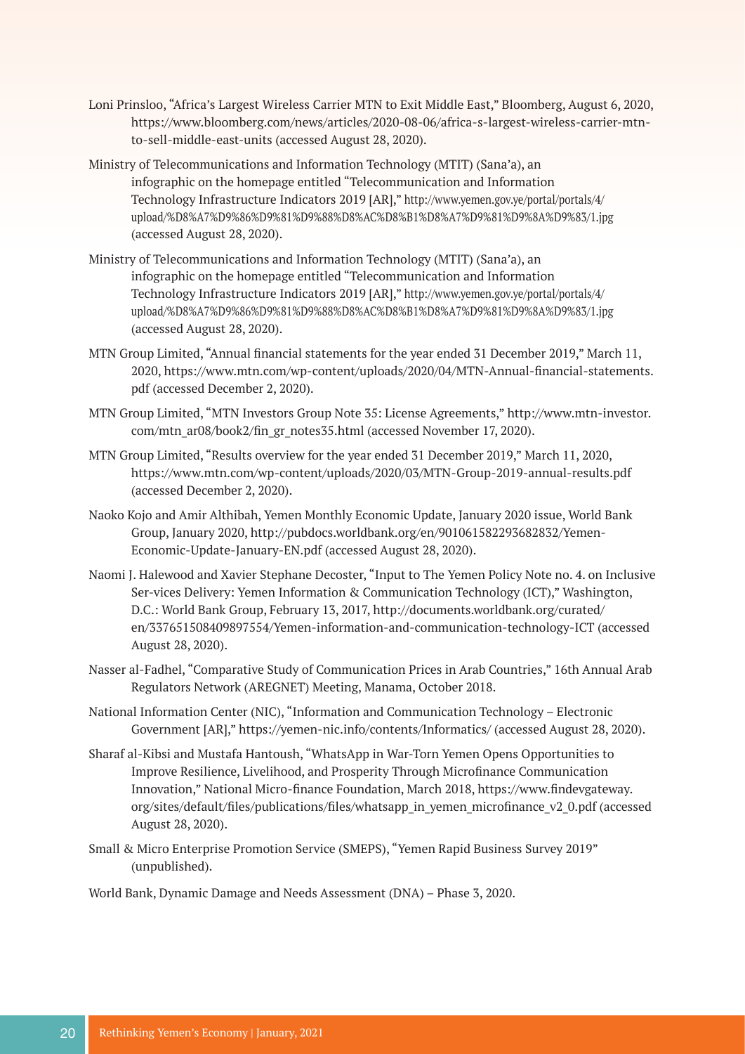- Loni Prinsloo, "Africa's Largest Wireless Carrier MTN to Exit Middle East," Bloomberg, August 6, 2020, https://www.bloomberg.com/news/articles/2020-08-06/africa-s-largest-wireless-carrier-mtnto-sell-middle-east-units (accessed August 28, 2020).
- Ministry of Telecommunications and Information Technology (MTIT) (Sana'a), an infographic on the homepage entitled "Telecommunication and Information Technology Infrastructure Indicators 2019 [AR]," http://www.yemen.gov.ye/portal/portals/4/ upload/%D8%A7%D9%86%D9%81%D9%88%D8%AC%D8%B1%D8%A7%D9%81%D9%8A%D9%83/1.jpg (accessed August 28, 2020).
- Ministry of Telecommunications and Information Technology (MTIT) (Sana'a), an infographic on the homepage entitled "Telecommunication and Information Technology Infrastructure Indicators 2019 [AR]," http://www.yemen.gov.ye/portal/portals/4/ upload/%D8%A7%D9%86%D9%81%D9%88%D8%AC%D8%B1%D8%A7%D9%81%D9%8A%D9%83/1.jpg (accessed August 28, 2020).
- MTN Group Limited, "Annual financial statements for the year ended 31 December 2019," March 11, 2020, https://www.mtn.com/wp-content/uploads/2020/04/MTN-Annual-financial-statements. pdf (accessed December 2, 2020).
- MTN Group Limited, "MTN Investors Group Note 35: License Agreements," http://www.mtn-investor. com/mtn\_ar08/book2/fin\_gr\_notes35.html (accessed November 17, 2020).
- MTN Group Limited, "Results overview for the year ended 31 December 2019," March 11, 2020, https://www.mtn.com/wp-content/uploads/2020/03/MTN-Group-2019-annual-results.pdf (accessed December 2, 2020).
- Naoko Kojo and Amir Althibah, Yemen Monthly Economic Update, January 2020 issue, World Bank Group, January 2020, http://pubdocs.worldbank.org/en/901061582293682832/Yemen-Economic-Update-January-EN.pdf (accessed August 28, 2020).
- Naomi J. Halewood and Xavier Stephane Decoster, "Input to The Yemen Policy Note no. 4. on Inclusive Ser-vices Delivery: Yemen Information & Communication Technology (ICT)," Washington, D.C.: World Bank Group, February 13, 2017, http://documents.worldbank.org/curated/ en/337651508409897554/Yemen-information-and-communication-technology-ICT (accessed August 28, 2020).
- Nasser al-Fadhel, "Comparative Study of Communication Prices in Arab Countries," 16th Annual Arab Regulators Network (AREGNET) Meeting, Manama, October 2018.
- National Information Center (NIC), "Information and Communication Technology Electronic Government [AR]," https://yemen-nic.info/contents/Informatics/ (accessed August 28, 2020).
- Sharaf al-Kibsi and Mustafa Hantoush, "WhatsApp in War-Torn Yemen Opens Opportunities to Improve Resilience, Livelihood, and Prosperity Through Microfinance Communication Innovation," National Micro-finance Foundation, March 2018, https://www.findevgateway. org/sites/default/files/publications/files/whatsapp\_in\_yemen\_microfinance\_v2\_0.pdf (accessed August 28, 2020).
- Small & Micro Enterprise Promotion Service (SMEPS), "Yemen Rapid Business Survey 2019" (unpublished).

World Bank, Dynamic Damage and Needs Assessment (DNA) – Phase 3, 2020.